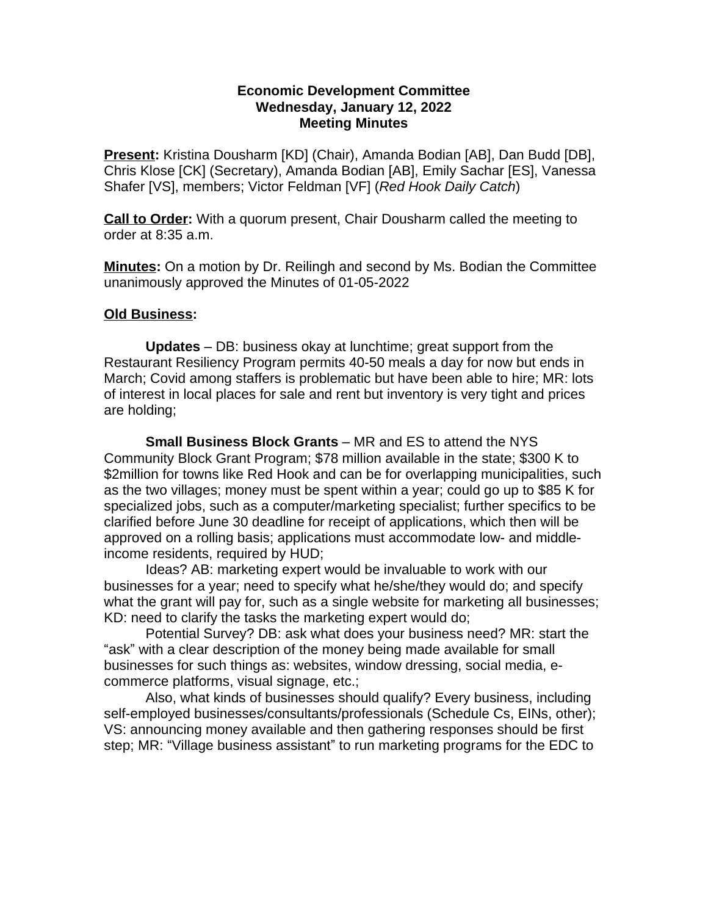## **Economic Development Committee Wednesday, January 12, 2022 Meeting Minutes**

**Present:** Kristina Dousharm [KD] (Chair), Amanda Bodian [AB], Dan Budd [DB], Chris Klose [CK] (Secretary), Amanda Bodian [AB], Emily Sachar [ES], Vanessa Shafer [VS], members; Victor Feldman [VF] (*Red Hook Daily Catch*)

**Call to Order:** With a quorum present, Chair Dousharm called the meeting to order at 8:35 a.m.

**Minutes:** On a motion by Dr. Reilingh and second by Ms. Bodian the Committee unanimously approved the Minutes of 01-05-2022

## **Old Business:**

**Updates** – DB: business okay at lunchtime; great support from the Restaurant Resiliency Program permits 40-50 meals a day for now but ends in March; Covid among staffers is problematic but have been able to hire; MR: lots of interest in local places for sale and rent but inventory is very tight and prices are holding;

**Small Business Block Grants** – MR and ES to attend the NYS Community Block Grant Program; \$78 million available in the state; \$300 K to \$2million for towns like Red Hook and can be for overlapping municipalities, such as the two villages; money must be spent within a year; could go up to \$85 K for specialized jobs, such as a computer/marketing specialist; further specifics to be clarified before June 30 deadline for receipt of applications, which then will be approved on a rolling basis; applications must accommodate low- and middleincome residents, required by HUD;

Ideas? AB: marketing expert would be invaluable to work with our businesses for a year; need to specify what he/she/they would do; and specify what the grant will pay for, such as a single website for marketing all businesses; KD: need to clarify the tasks the marketing expert would do;

Potential Survey? DB: ask what does your business need? MR: start the "ask" with a clear description of the money being made available for small businesses for such things as: websites, window dressing, social media, ecommerce platforms, visual signage, etc.;

Also, what kinds of businesses should qualify? Every business, including self-employed businesses/consultants/professionals (Schedule Cs, EINs, other); VS: announcing money available and then gathering responses should be first step; MR: "Village business assistant" to run marketing programs for the EDC to